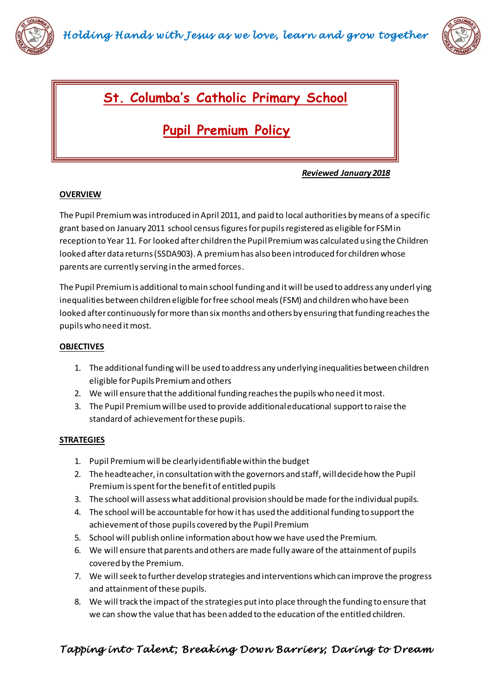



## **St. Columba's Catholic Primary School**

# **Pupil Premium Policy**

 *Reviewed January 2018*

### **OVERVIEW**

ReRe

The Pupil Premium was introduced in April 2011, and paid to local authorities by means of a specific grant based on January 2011 school census figures for pupils registered as eligible for FSM in reception to Year 11. For looked after children the Pupil Premium was calculated using the Children looked after data returns (SSDA903). A premium has also been introduced for children whose parents are currently serving in the armed forces.

The Pupil Premium is additional to main school funding and it will be used to address any underl ying inequalities between children eligible for free school meals (FSM) and children who have been looked after continuously for more than six months and others by ensuring that funding reaches the pupils who need it most.

#### **OBJECTIVES**

- 1. The additional funding will be used to address any underlying inequalities between children eligible for Pupils Premium and others
- 2. We will ensure that the additional funding reaches the pupils who need it most.
- 3. The Pupil Premium will be used to provide additional educational support to raise the standard of achievement for these pupils.

#### **STRATEGIES**

- 1. Pupil Premium will be clearly identifiable within the budget
- 2. The headteacher, in consultation with the governors and staff, will decide how the Pupil Premium is spent for the benefit of entitled pupils
- 3. The school will assess what additional provision should be made for the individual pupils.
- 4. The school will be accountable for how it has used the additional funding to support the achievement of those pupils covered by the Pupil Premium
- 5. School will publish online information about how we have used the Premium.
- 6. We will ensure that parents and others are made fully aware of the attainment of pupils covered by the Premium.
- 7. We will seek to further develop strategies and interventions which can improve the progress and attainment of these pupils.
- 8. We will track the impact of the strategies put into place through the funding to ensure that we can show the value that has been added to the education of the entitled children.

### *Tapping into Talent ; Breaking Down Barriers; Daring to Dream*